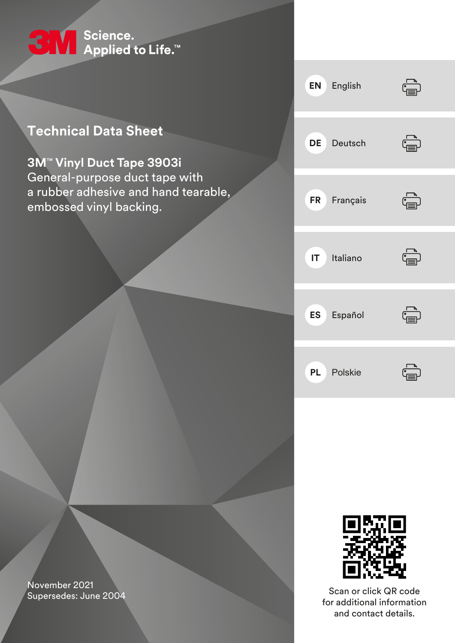

# **Technical Data Sheet**

**3M**™ **Vinyl Duct Tape 3903i** General-purpose duct tape with a rubber adhesive and hand tearable, embossed vinyl backing.





Scan or click QR code for additional information and contact details.

November 2021 Supersedes: June 2004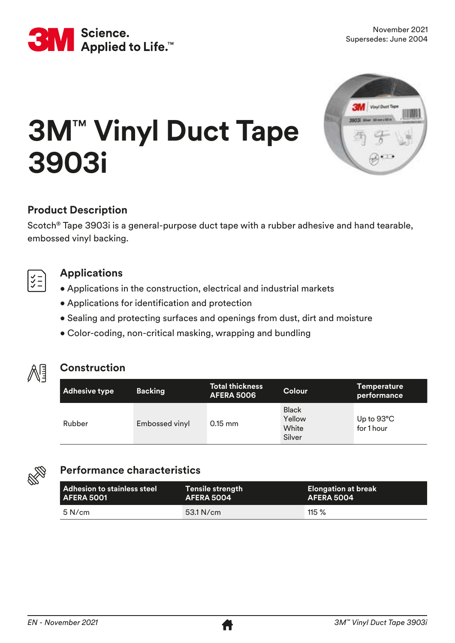



# **3M**™ **Vinyl Duct Tape 3903i**

# **Product Description**

Scotch® Tape 3903i is a general-purpose duct tape with a rubber adhesive and hand tearable, embossed vinyl backing.



# **Applications**

- Applications in the construction, electrical and industrial markets
- Applications for identification and protection
- Sealing and protecting surfaces and openings from dust, dirt and moisture
- Color-coding, non-critical masking, wrapping and bundling



# **Construction**

| Adhesive type | <b>Backing</b> | <b>Total thickness</b><br><b>AFERA 5006</b> | <b>Colour</b>                             | <b>Temperature</b><br>performance  |
|---------------|----------------|---------------------------------------------|-------------------------------------------|------------------------------------|
| Rubber        | Embossed vinyl | $0.15$ mm                                   | <b>Black</b><br>Yellow<br>White<br>Silver | Up to $93^{\circ}$ C<br>for 1 hour |



# **Performance characteristics**

| l Adhesion to stainless steel | <b>Tensile strength</b> | <b>Elongation at break</b> |
|-------------------------------|-------------------------|----------------------------|
| <b>AFERA 5001</b>             | AFERA 5004              | AFERA 5004                 |
| $5$ N/cm                      | $53.1$ N/cm             | 115%                       |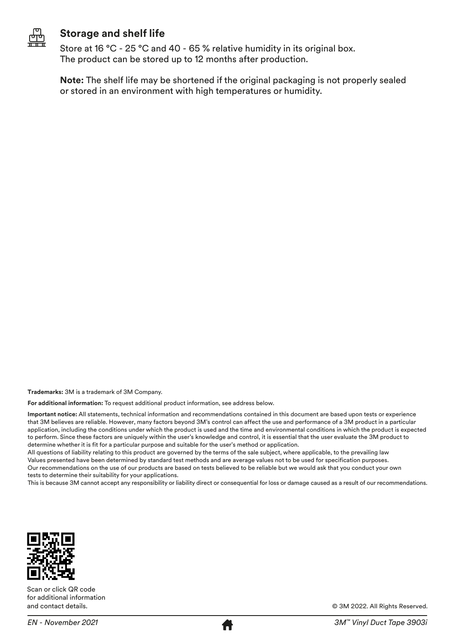

# **Storage and shelf life**

Store at 16 °C - 25 °C and 40 - 65 % relative humidity in its original box. The product can be stored up to 12 months after production.

**Note:** The shelf life may be shortened if the original packaging is not properly sealed or stored in an environment with high temperatures or humidity.

**Trademarks:** 3M is a trademark of 3M Company.

**For additional information:** To request additional product information, see address below.

**Important notice:** All statements, technical information and recommendations contained in this document are based upon tests or experience that 3M believes are reliable. However, many factors beyond 3M's control can affect the use and performance of a 3M product in a particular application, including the conditions under which the product is used and the time and environmental conditions in which the product is expected to perform. Since these factors are uniquely within the user's knowledge and control, it is essential that the user evaluate the 3M product to determine whether it is fit for a particular purpose and suitable for the user's method or application.

All questions of liability relating to this product are governed by the terms of the sale subject, where applicable, to the prevailing law Values presented have been determined by standard test methods and are average values not to be used for specification purposes. Our recommendations on the use of our products are based on tests believed to be reliable but we would ask that you conduct your own tests to determine their suitability for your applications.

This is because 3M cannot accept any responsibility or liability direct or consequential for loss or damage caused as a result of our recommendations.



Scan or click QR code for additional information and contact details.



© 3M 2022. All Rights Reserved.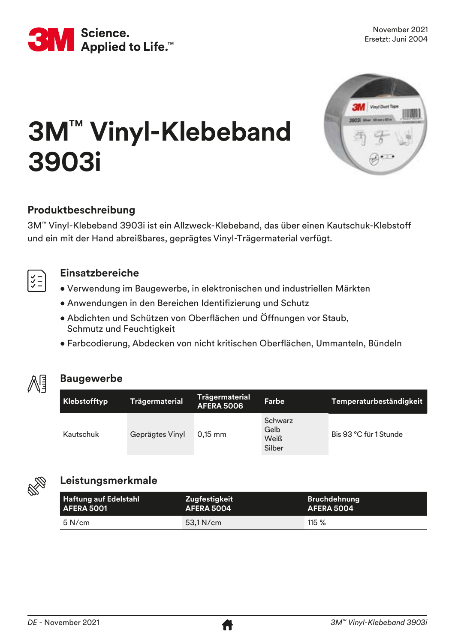



# **3M**™ **Vinyl-Klebeband 3903i**

# **Produktbeschreibung**

3M™ Vinyl-Klebeband 3903i ist ein Allzweck-Klebeband, das über einen Kautschuk-Klebstoff und ein mit der Hand abreißbares, geprägtes Vinyl-Trägermaterial verfügt.



# **Einsatzbereiche**

- Verwendung im Baugewerbe, in elektronischen und industriellen Märkten
- Anwendungen in den Bereichen Identifizierung und Schutz
- Abdichten und Schützen von Oberflächen und Öffnungen vor Staub, Schmutz und Feuchtigkeit
- Farbcodierung, Abdecken von nicht kritischen Oberflächen, Ummanteln, Bündeln



# **Baugewerbe**

| Klebstofftyp | <b>Trägermaterial</b> | Trägermaterial<br><b>AFERA 5006</b> | Farbe                                    | Temperaturbeständigkeit |
|--------------|-----------------------|-------------------------------------|------------------------------------------|-------------------------|
| Kautschuk    | Geprägtes Vinyl       | $0.15$ mm                           | Schwarz<br>Gelb<br><b>Weiß</b><br>Silber | Bis 93 °C für 1 Stunde  |



# **Leistungsmerkmale**

| <b>Haftung auf Edelstahl</b> | Zugfestigkeit     | <b>Bruchdehnung</b> |
|------------------------------|-------------------|---------------------|
| <b>AFERA 5001</b>            | <b>AFERA 5004</b> | AFERA 5004          |
| $5$ N/cm                     | 53.1 N/cm         | $115 \%$            |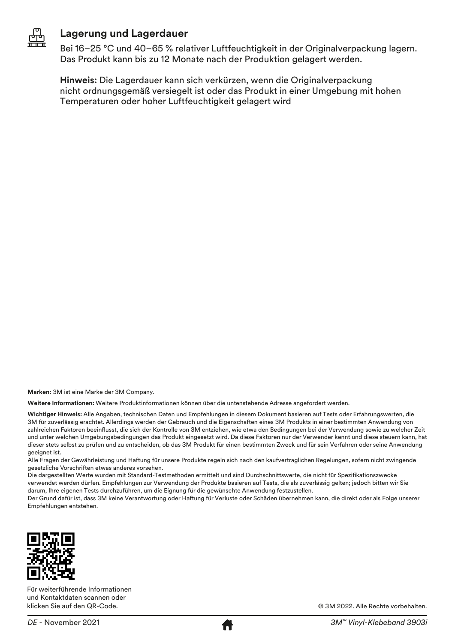

# **Lagerung und Lagerdauer**

Bei 16–25 °C und 40–65 % relativer Luftfeuchtigkeit in der Originalverpackung lagern. Das Produkt kann bis zu 12 Monate nach der Produktion gelagert werden.

**Hinweis:** Die Lagerdauer kann sich verkürzen, wenn die Originalverpackung nicht ordnungsgemäß versiegelt ist oder das Produkt in einer Umgebung mit hohen Temperaturen oder hoher Luftfeuchtigkeit gelagert wird

**Marken:** 3M ist eine Marke der 3M Company.

**Weitere Informationen:** Weitere Produktinformationen können über die untenstehende Adresse angefordert werden.

**Wichtiger Hinweis:** Alle Angaben, technischen Daten und Empfehlungen in diesem Dokument basieren auf Tests oder Erfahrungswerten, die 3M für zuverlässig erachtet. Allerdings werden der Gebrauch und die Eigenschaften eines 3M Produkts in einer bestimmten Anwendung von zahlreichen Faktoren beeinflusst, die sich der Kontrolle von 3M entziehen, wie etwa den Bedingungen bei der Verwendung sowie zu welcher Zeit und unter welchen Umgebungsbedingungen das Produkt eingesetzt wird. Da diese Faktoren nur der Verwender kennt und diese steuern kann, hat dieser stets selbst zu prüfen und zu entscheiden, ob das 3M Produkt für einen bestimmten Zweck und für sein Verfahren oder seine Anwendung geeignet ist.

Alle Fragen der Gewährleistung und Haftung für unsere Produkte regeln sich nach den kaufvertraglichen Regelungen, sofern nicht zwingende gesetzliche Vorschriften etwas anderes vorsehen.

Die dargestellten Werte wurden mit Standard-Testmethoden ermittelt und sind Durchschnittswerte, die nicht für Spezifikationszwecke verwendet werden dürfen. Empfehlungen zur Verwendung der Produkte basieren auf Tests, die als zuverlässig gelten; jedoch bitten wir Sie darum, Ihre eigenen Tests durchzuführen, um die Eignung für die gewünschte Anwendung festzustellen.

Der Grund dafür ist, dass 3M keine Verantwortung oder Haftung für Verluste oder Schäden übernehmen kann, die direkt oder als Folge unserer Empfehlungen entstehen.



Für weiterführende Informationen und Kontaktdaten scannen oder klicken Sie auf den QR-Code.



© 3M 2022. Alle Rechte vorbehalten.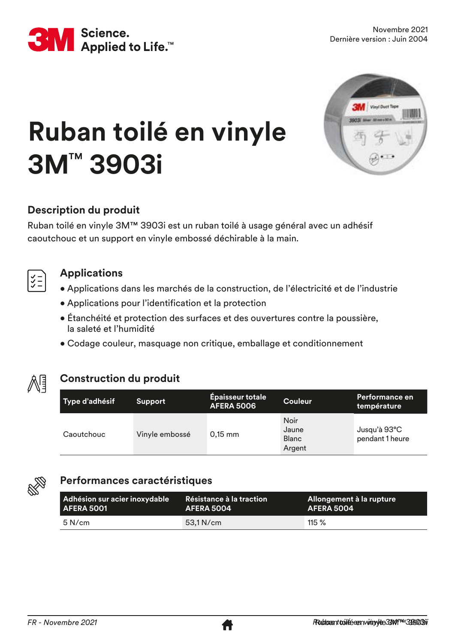



# **Ruban toilé en vinyle 3M**™ **3903i**

# **Description du produit**

Ruban toilé en vinyle 3M™ 3903i est un ruban toilé à usage général avec un adhésif caoutchouc et un support en vinyle embossé déchirable à la main.

# **Applications**

- Applications dans les marchés de la construction, de l'électricité et de l'industrie
- Applications pour l'identification et la protection
- Étanchéité et protection des surfaces et des ouvertures contre la poussière, la saleté et l'humidité
- Codage couleur, masquage non critique, emballage et conditionnement



# **Construction du produit**

| Type d'adhésif | <b>Support</b> | <b>Épaisseur totale</b><br><b>AFERA 5006</b> | <b>Couleur</b>                                 | Performance en<br>température   |
|----------------|----------------|----------------------------------------------|------------------------------------------------|---------------------------------|
| Caoutchouc     | Vinyle embossé | $0,15$ mm                                    | <b>Noir</b><br>Jaune<br><b>Blanc</b><br>Argent | Jusqu'à 93°C<br>pendant 1 heure |



# **Performances caractéristiques**

| Adhésion sur acier inoxydable | Résistance à la traction | <b>Allongement à la rupture</b> ' |
|-------------------------------|--------------------------|-----------------------------------|
| <b>AFERA 5001</b>             | AFERA 5004               | AFERA 5004                        |
| $5$ N/cm                      | $53.1$ N/cm              | $115 \%$                          |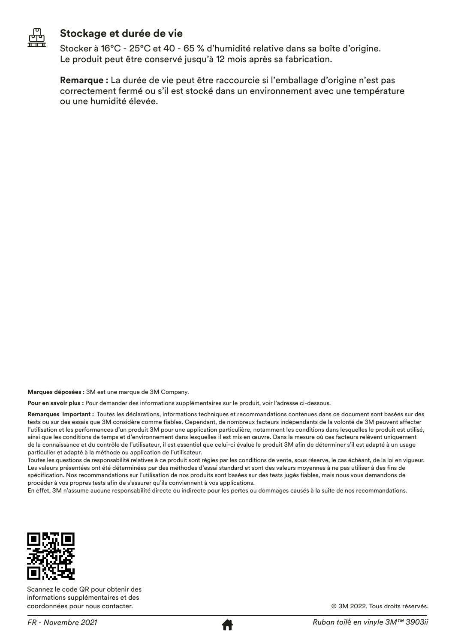

### **Stockage et durée de vie**

Stocker à 16°C - 25°C et 40 - 65 % d'humidité relative dans sa boîte d'origine. Le produit peut être conservé jusqu'à 12 mois après sa fabrication.

**Remarque :** La durée de vie peut être raccourcie si l'emballage d'origine n'est pas correctement fermé ou s'il est stocké dans un environnement avec une température ou une humidité élevée.

**Marques déposées :** 3M est une marque de 3M Company.

**Pour en savoir plus :** Pour demander des informations supplémentaires sur le produit, voir l'adresse ci-dessous.

**Remarques important :** Toutes les déclarations, informations techniques et recommandations contenues dans ce document sont basées sur des tests ou sur des essais que 3M considère comme fiables. Cependant, de nombreux facteurs indépendants de la volonté de 3M peuvent affecter l'utilisation et les performances d'un produit 3M pour une application particulière, notamment les conditions dans lesquelles le produit est utilisé, ainsi que les conditions de temps et d'environnement dans lesquelles il est mis en œuvre. Dans la mesure où ces facteurs relèvent uniquement de la connaissance et du contrôle de l'utilisateur, il est essentiel que celui-ci évalue le produit 3M afin de déterminer s'il est adapté à un usage particulier et adapté à la méthode ou application de l'utilisateur.

Toutes les questions de responsabilité relatives à ce produit sont régies par les conditions de vente, sous réserve, le cas échéant, de la loi en vigueur. Les valeurs présentées ont été déterminées par des méthodes d'essai standard et sont des valeurs moyennes à ne pas utiliser à des fins de spécification. Nos recommandations sur l'utilisation de nos produits sont basées sur des tests jugés fiables, mais nous vous demandons de procéder à vos propres tests afin de s'assurer qu'ils conviennent à vos applications.

En effet, 3M n'assume aucune responsabilité directe ou indirecte pour les pertes ou dommages causés à la suite de nos recommandations.



Scannez le code QR pour obtenir des informations supplémentaires et des coordonnées pour nous contacter.

© 3M 2022. Tous droits réservés.

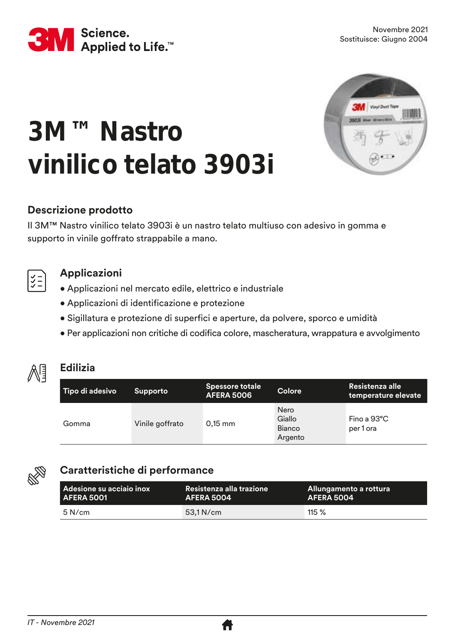

# **3M™ Nastro vinilico telato 3903i**



# **Descrizione prodotto**

Il 3M™ Nastro vinilico telato 3903i è un nastro telato multiuso con adesivo in gomma e supporto in vinile goffrato strappabile a mano.



# **Applicazioni**

- Applicazioni nel mercato edile, elettrico e industriale
- Applicazioni di identificazione e protezione
- Sigillatura e protezione di superfici e aperture, da polvere, sporco e umidità
- Per applicazioni non critiche di codifica colore, mascheratura, wrappatura e avvolgimento



# **Edilizia**

| Tipo di adesivo | <b>Supporto</b> | Spessore totale<br><b>AFERA 5006</b> | <b>Colore</b>                              | Resistenza alle<br>temperature elevate |
|-----------------|-----------------|--------------------------------------|--------------------------------------------|----------------------------------------|
| Gomma           | Vinile goffrato | $0,15$ mm                            | <b>Nero</b><br>Giallo<br>Bianco<br>Argento | Fino a $93^{\circ}$ C<br>per 1 ora     |



# **Caratteristiche di performance**

| l Adesione su acciaio inox , | Resistenza alla trazione | , Allungamento a rottura ' |
|------------------------------|--------------------------|----------------------------|
| AFERA 5001                   | AFERA 5004               | AFERA 5004                 |
| $5$ N/cm                     | $53.1$ N/cm              | 115 $%$                    |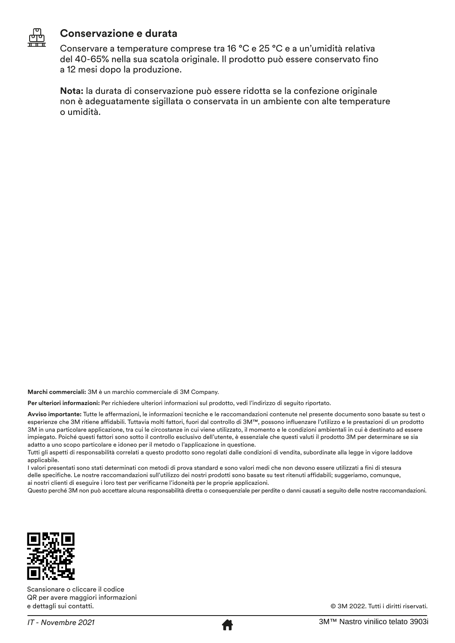

### **Conservazione e durata**

Conservare a temperature comprese tra 16 °C e 25 °C e a un'umidità relativa del 40-65% nella sua scatola originale. Il prodotto può essere conservato fino a 12 mesi dopo la produzione.

**Nota:** la durata di conservazione può essere ridotta se la confezione originale non è adeguatamente sigillata o conservata in un ambiente con alte temperature o umidità.

**Marchi commerciali:** 3M è un marchio commerciale di 3M Company.

**Per ulteriori informazioni:** Per richiedere ulteriori informazioni sul prodotto, vedi l'indirizzo di seguito riportato.

**Avviso importante:** Tutte le affermazioni, le informazioni tecniche e le raccomandazioni contenute nel presente documento sono basate su test o esperienze che 3M ritiene affidabili. Tuttavia molti fattori, fuori dal controllo di 3M™, possono influenzare l'utilizzo e le prestazioni di un prodotto 3M in una particolare applicazione, tra cui le circostanze in cui viene utilizzato, il momento e le condizioni ambientali in cui è destinato ad essere impiegato. Poiché questi fattori sono sotto il controllo esclusivo dell'utente, è essenziale che questi valuti il prodotto 3M per determinare se sia adatto a uno scopo particolare e idoneo per il metodo o l'applicazione in questione.

Tutti gli aspetti di responsabilità correlati a questo prodotto sono regolati dalle condizioni di vendita, subordinate alla legge in vigore laddove applicabile.

I valori presentati sono stati determinati con metodi di prova standard e sono valori medi che non devono essere utilizzati a fini di stesura delle specifiche. Le nostre raccomandazioni sull'utilizzo dei nostri prodotti sono basate su test ritenuti affidabili; suggeriamo, comunque, ai nostri clienti di eseguire i loro test per verificarne l'idoneità per le proprie applicazioni.

Questo perché 3M non può accettare alcuna responsabilità diretta o consequenziale per perdite o danni causati a seguito delle nostre raccomandazioni.



Scansionare o cliccare il codice QR per avere maggiori informazioni e dettagli sui contatti.

© 3M 2022. Tutti i diritti riservati.

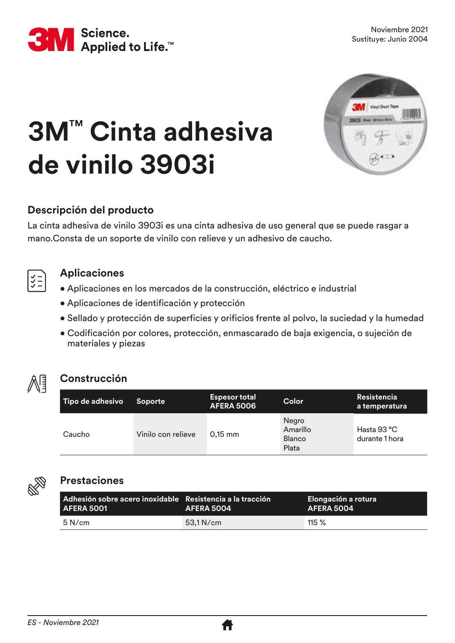



# **3M**™ **Cinta adhesiva de vinilo 3903i**



La cinta adhesiva de vinilo 3903i es una cinta adhesiva de uso general que se puede rasgar a mano.Consta de un soporte de vinilo con relieve y un adhesivo de caucho.



#### **Aplicaciones**

- Aplicaciones en los mercados de la construcción, eléctrico e industrial
- Aplicaciones de identificación y protección
- Sellado y protección de superficies y orificios frente al polvo, la suciedad y la humedad
- Codificación por colores, protección, enmascarado de baja exigencia, o sujeción de materiales y piezas



# **Construcción**

| Tipo de adhesivo | <b>Soporte</b>     | <b>Espesor total</b><br><b>AFERA 5006</b> | Color                                       | Resistencia<br>a temperatura           |
|------------------|--------------------|-------------------------------------------|---------------------------------------------|----------------------------------------|
| Caucho           | Vinilo con relieve | $0.15$ mm                                 | Negro<br>Amarillo<br><b>Blanco</b><br>Plata | Hasta $93^{\circ}$ C<br>durante 1 hora |



#### **Prestaciones**

| l Adhesión sobre acero inoxidable - Resistencia a la tracción -<br>AFERA 5001 | AFERA 5004 | Elongación a rotura<br>AFERA 5004 |
|-------------------------------------------------------------------------------|------------|-----------------------------------|
| $5$ N/cm                                                                      | 53.1 N/cm  | $115 \%$                          |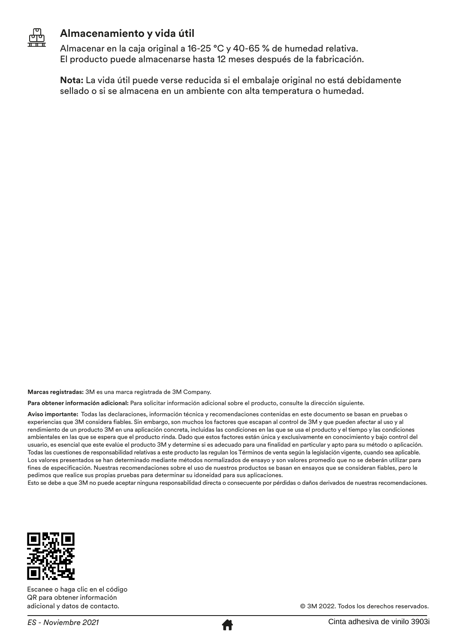

# **Almacenamiento y vida útil**

Almacenar en la caja original a 16-25 °C y 40-65 % de humedad relativa. El producto puede almacenarse hasta 12 meses después de la fabricación.

**Nota:** La vida útil puede verse reducida si el embalaje original no está debidamente sellado o si se almacena en un ambiente con alta temperatura o humedad.

**Marcas registradas:** 3M es una marca registrada de 3M Company.

**Para obtener información adicional:** Para solicitar información adicional sobre el producto, consulte la dirección siguiente.

**Aviso importante:** Todas las declaraciones, información técnica y recomendaciones contenidas en este documento se basan en pruebas o experiencias que 3M considera fiables. Sin embargo, son muchos los factores que escapan al control de 3M y que pueden afectar al uso y al rendimiento de un producto 3M en una aplicación concreta, incluidas las condiciones en las que se usa el producto y el tiempo y las condiciones ambientales en las que se espera que el producto rinda. Dado que estos factores están única y exclusivamente en conocimiento y bajo control del usuario, es esencial que este evalúe el producto 3M y determine si es adecuado para una finalidad en particular y apto para su método o aplicación. Todas las cuestiones de responsabilidad relativas a este producto las regulan los Términos de venta según la legislación vigente, cuando sea aplicable. Los valores presentados se han determinado mediante métodos normalizados de ensayo y son valores promedio que no se deberán utilizar para fines de especificación. Nuestras recomendaciones sobre el uso de nuestros productos se basan en ensayos que se consideran fiables, pero le pedimos que realice sus propias pruebas para determinar su idoneidad para sus aplicaciones.

Esto se debe a que 3M no puede aceptar ninguna responsabilidad directa o consecuente por pérdidas o daños derivados de nuestras recomendaciones.



Escanee o haga clic en el código QR para obtener información adicional y datos de contacto.



© 3M 2022. Todos los derechos reservados.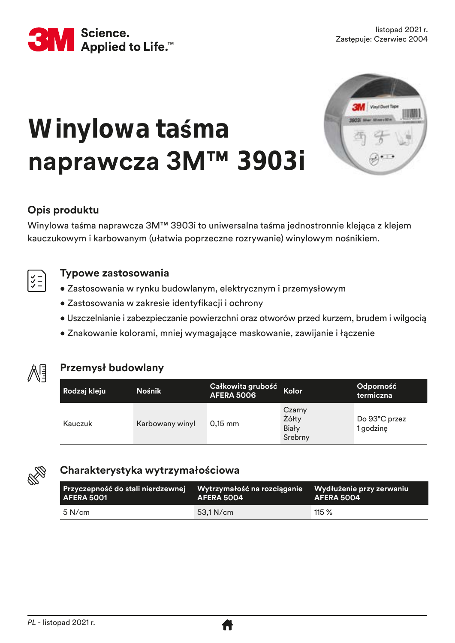

# **Winylowa taśma naprawcza 3M™ 3903i**



# **Opis produktu**

Winylowa taśma naprawcza 3M™ 3903i to uniwersalna taśma jednostronnie klejąca z klejem kauczukowym i karbowanym (ułatwia poprzeczne rozrywanie) winylowym nośnikiem.



### **Typowe zastosowania**

- Zastosowania w rynku budowlanym, elektrycznym i przemysłowym
- Zastosowania w zakresie identyfikacji i ochrony
- Uszczelnianie i zabezpieczanie powierzchni oraz otworów przed kurzem, brudem i wilgocią
- Znakowanie kolorami, mniej wymagające maskowanie, zawijanie i łączenie



# **Przemysł budowlany**

| Rodzaj kleju | <b>Nośnik</b>   | Całkowita grubość<br><b>AFERA 5006</b> | Kolor                                      | Odporność<br>termiczna     |
|--------------|-----------------|----------------------------------------|--------------------------------------------|----------------------------|
| Kauczuk      | Karbowany winyl | $0,15$ mm                              | Czarny<br>Żółty<br><b>Biały</b><br>Srebrny | Do 93°C przez<br>1 godzinę |



# **Charakterystyka wytrzymałościowa**

| Przyczepność do stali nierdzewnej Wytrzymałość na rozciąganie Wydłużenie przy zerwaniu<br><b>AFERA 5001</b> | AFERA 5004 | AFERA 5004 |
|-------------------------------------------------------------------------------------------------------------|------------|------------|
| $5$ N/cm                                                                                                    | 53.1 N/cm  | 115 $%$    |